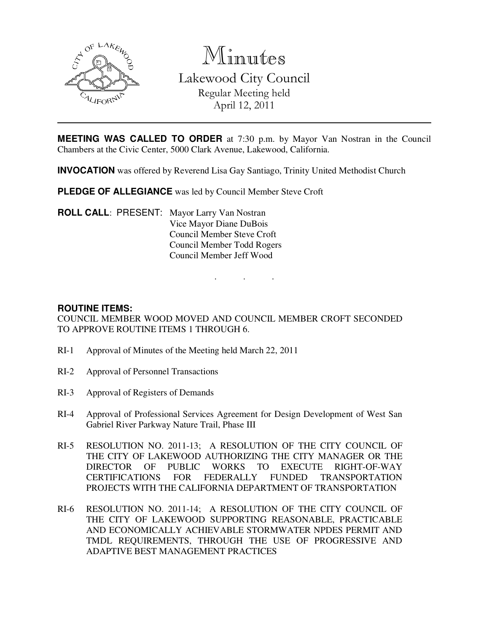

Minutes Lakewood City Council Regular Meeting held April 12, 2011

**MEETING WAS CALLED TO ORDER** at 7:30 p.m. by Mayor Van Nostran in the Council Chambers at the Civic Center, 5000 Clark Avenue, Lakewood, California.

**INVOCATION** was offered by Reverend Lisa Gay Santiago, Trinity United Methodist Church

**PLEDGE OF ALLEGIANCE** was led by Council Member Steve Croft

**ROLL CALL**: PRESENT: Mayor Larry Van Nostran Vice Mayor Diane DuBois Council Member Steve Croft Council Member Todd Rogers Council Member Jeff Wood

### **ROUTINE ITEMS:**

COUNCIL MEMBER WOOD MOVED AND COUNCIL MEMBER CROFT SECONDED TO APPROVE ROUTINE ITEMS 1 THROUGH 6.

. . .

- RI-1 Approval of Minutes of the Meeting held March 22, 2011
- RI-2 Approval of Personnel Transactions
- RI-3 Approval of Registers of Demands
- RI-4 Approval of Professional Services Agreement for Design Development of West San Gabriel River Parkway Nature Trail, Phase III
- RI-5 RESOLUTION NO. 2011-13; A RESOLUTION OF THE CITY COUNCIL OF THE CITY OF LAKEWOOD AUTHORIZING THE CITY MANAGER OR THE DIRECTOR OF PUBLIC WORKS TO EXECUTE RIGHT-OF-WAY CERTIFICATIONS FOR FEDERALLY FUNDED TRANSPORTATION PROJECTS WITH THE CALIFORNIA DEPARTMENT OF TRANSPORTATION
- RI-6 RESOLUTION NO. 2011-14; A RESOLUTION OF THE CITY COUNCIL OF THE CITY OF LAKEWOOD SUPPORTING REASONABLE, PRACTICABLE AND ECONOMICALLY ACHIEVABLE STORMWATER NPDES PERMIT AND TMDL REQUIREMENTS, THROUGH THE USE OF PROGRESSIVE AND ADAPTIVE BEST MANAGEMENT PRACTICES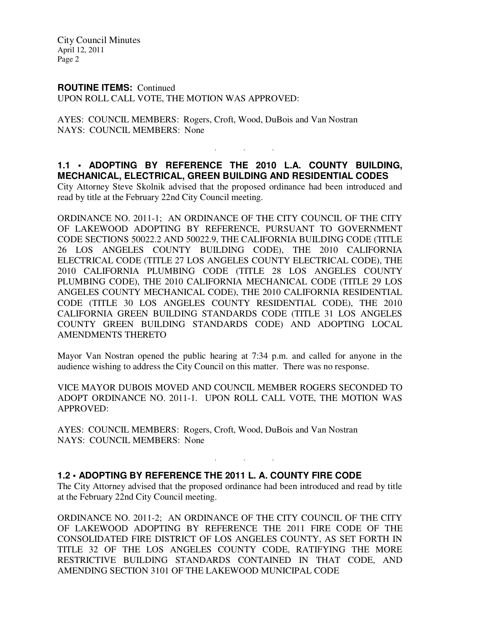### **ROUTINE ITEMS:** Continued

UPON ROLL CALL VOTE, THE MOTION WAS APPROVED:

AYES: COUNCIL MEMBERS: Rogers, Croft, Wood, DuBois and Van Nostran NAYS: COUNCIL MEMBERS: None

# **1.1 • ADOPTING BY REFERENCE THE 2010 L.A. COUNTY BUILDING, MECHANICAL, ELECTRICAL, GREEN BUILDING AND RESIDENTIAL CODES**

. . .

City Attorney Steve Skolnik advised that the proposed ordinance had been introduced and read by title at the February 22nd City Council meeting.

ORDINANCE NO. 2011-1; AN ORDINANCE OF THE CITY COUNCIL OF THE CITY OF LAKEWOOD ADOPTING BY REFERENCE, PURSUANT TO GOVERNMENT CODE SECTIONS 50022.2 AND 50022.9, THE CALIFORNIA BUILDING CODE (TITLE 26 LOS ANGELES COUNTY BUILDING CODE), THE 2010 CALIFORNIA ELECTRICAL CODE (TITLE 27 LOS ANGELES COUNTY ELECTRICAL CODE), THE 2010 CALIFORNIA PLUMBING CODE (TITLE 28 LOS ANGELES COUNTY PLUMBING CODE), THE 2010 CALIFORNIA MECHANICAL CODE (TITLE 29 LOS ANGELES COUNTY MECHANICAL CODE), THE 2010 CALIFORNIA RESIDENTIAL CODE (TITLE 30 LOS ANGELES COUNTY RESIDENTIAL CODE), THE 2010 CALIFORNIA GREEN BUILDING STANDARDS CODE (TITLE 31 LOS ANGELES COUNTY GREEN BUILDING STANDARDS CODE) AND ADOPTING LOCAL AMENDMENTS THERETO

Mayor Van Nostran opened the public hearing at 7:34 p.m. and called for anyone in the audience wishing to address the City Council on this matter. There was no response.

VICE MAYOR DUBOIS MOVED AND COUNCIL MEMBER ROGERS SECONDED TO ADOPT ORDINANCE NO. 2011-1. UPON ROLL CALL VOTE, THE MOTION WAS APPROVED:

AYES: COUNCIL MEMBERS: Rogers, Croft, Wood, DuBois and Van Nostran NAYS: COUNCIL MEMBERS: None

## **1.2 • ADOPTING BY REFERENCE THE 2011 L. A. COUNTY FIRE CODE**

The City Attorney advised that the proposed ordinance had been introduced and read by title at the February 22nd City Council meeting.

. . .

ORDINANCE NO. 2011-2; AN ORDINANCE OF THE CITY COUNCIL OF THE CITY OF LAKEWOOD ADOPTING BY REFERENCE THE 2011 FIRE CODE OF THE CONSOLIDATED FIRE DISTRICT OF LOS ANGELES COUNTY, AS SET FORTH IN TITLE 32 OF THE LOS ANGELES COUNTY CODE, RATIFYING THE MORE RESTRICTIVE BUILDING STANDARDS CONTAINED IN THAT CODE, AND AMENDING SECTION 3101 OF THE LAKEWOOD MUNICIPAL CODE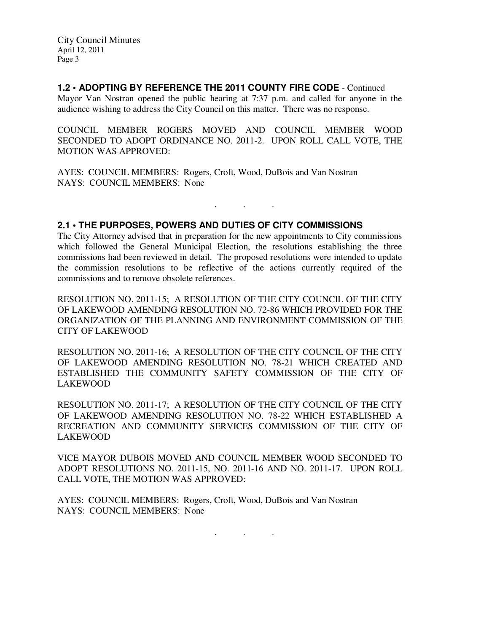**1.2 • ADOPTING BY REFERENCE THE 2011 COUNTY FIRE CODE** - Continued

Mayor Van Nostran opened the public hearing at 7:37 p.m. and called for anyone in the audience wishing to address the City Council on this matter. There was no response.

COUNCIL MEMBER ROGERS MOVED AND COUNCIL MEMBER WOOD SECONDED TO ADOPT ORDINANCE NO. 2011-2. UPON ROLL CALL VOTE, THE MOTION WAS APPROVED:

AYES: COUNCIL MEMBERS: Rogers, Croft, Wood, DuBois and Van Nostran NAYS: COUNCIL MEMBERS: None

## **2.1 • THE PURPOSES, POWERS AND DUTIES OF CITY COMMISSIONS**

The City Attorney advised that in preparation for the new appointments to City commissions which followed the General Municipal Election, the resolutions establishing the three commissions had been reviewed in detail. The proposed resolutions were intended to update the commission resolutions to be reflective of the actions currently required of the commissions and to remove obsolete references.

. . .

RESOLUTION NO. 2011-15; A RESOLUTION OF THE CITY COUNCIL OF THE CITY OF LAKEWOOD AMENDING RESOLUTION NO. 72-86 WHICH PROVIDED FOR THE ORGANIZATION OF THE PLANNING AND ENVIRONMENT COMMISSION OF THE CITY OF LAKEWOOD

RESOLUTION NO. 2011-16; A RESOLUTION OF THE CITY COUNCIL OF THE CITY OF LAKEWOOD AMENDING RESOLUTION NO. 78-21 WHICH CREATED AND ESTABLISHED THE COMMUNITY SAFETY COMMISSION OF THE CITY OF LAKEWOOD

RESOLUTION NO. 2011-17; A RESOLUTION OF THE CITY COUNCIL OF THE CITY OF LAKEWOOD AMENDING RESOLUTION NO. 78-22 WHICH ESTABLISHED A RECREATION AND COMMUNITY SERVICES COMMISSION OF THE CITY OF LAKEWOOD

VICE MAYOR DUBOIS MOVED AND COUNCIL MEMBER WOOD SECONDED TO ADOPT RESOLUTIONS NO. 2011-15, NO. 2011-16 AND NO. 2011-17. UPON ROLL CALL VOTE, THE MOTION WAS APPROVED:

AYES: COUNCIL MEMBERS: Rogers, Croft, Wood, DuBois and Van Nostran NAYS: COUNCIL MEMBERS: None

. . .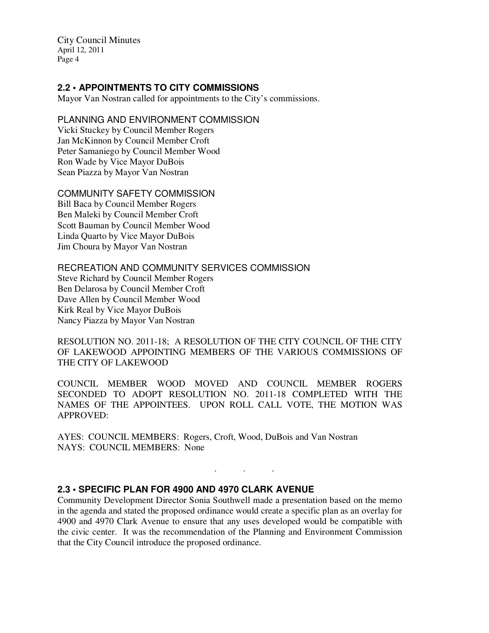## **2.2 • APPOINTMENTS TO CITY COMMISSIONS**

Mayor Van Nostran called for appointments to the City's commissions.

## PLANNING AND ENVIRONMENT COMMISSION

Vicki Stuckey by Council Member Rogers Jan McKinnon by Council Member Croft Peter Samaniego by Council Member Wood Ron Wade by Vice Mayor DuBois Sean Piazza by Mayor Van Nostran

#### COMMUNITY SAFETY COMMISSION

Bill Baca by Council Member Rogers Ben Maleki by Council Member Croft Scott Bauman by Council Member Wood Linda Quarto by Vice Mayor DuBois Jim Choura by Mayor Van Nostran

## RECREATION AND COMMUNITY SERVICES COMMISSION

Steve Richard by Council Member Rogers Ben Delarosa by Council Member Croft Dave Allen by Council Member Wood Kirk Real by Vice Mayor DuBois Nancy Piazza by Mayor Van Nostran

RESOLUTION NO. 2011-18; A RESOLUTION OF THE CITY COUNCIL OF THE CITY OF LAKEWOOD APPOINTING MEMBERS OF THE VARIOUS COMMISSIONS OF THE CITY OF LAKEWOOD

COUNCIL MEMBER WOOD MOVED AND COUNCIL MEMBER ROGERS SECONDED TO ADOPT RESOLUTION NO. 2011-18 COMPLETED WITH THE NAMES OF THE APPOINTEES. UPON ROLL CALL VOTE, THE MOTION WAS APPROVED:

AYES: COUNCIL MEMBERS: Rogers, Croft, Wood, DuBois and Van Nostran NAYS: COUNCIL MEMBERS: None

# **2.3 • SPECIFIC PLAN FOR 4900 AND 4970 CLARK AVENUE**

Community Development Director Sonia Southwell made a presentation based on the memo in the agenda and stated the proposed ordinance would create a specific plan as an overlay for 4900 and 4970 Clark Avenue to ensure that any uses developed would be compatible with the civic center. It was the recommendation of the Planning and Environment Commission that the City Council introduce the proposed ordinance.

. . .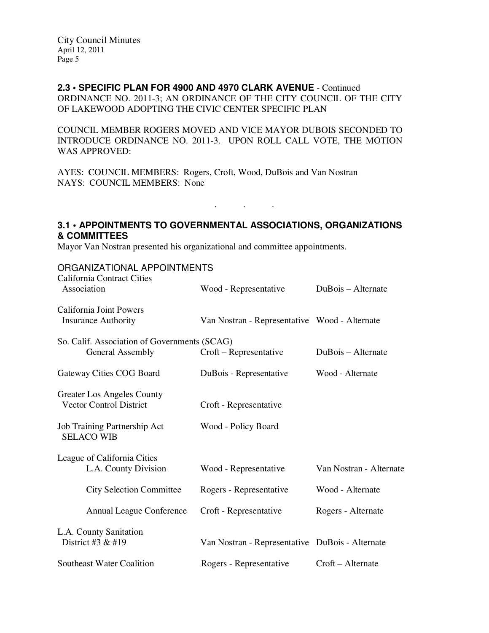## **2.3 • SPECIFIC PLAN FOR 4900 AND 4970 CLARK AVENUE** - Continued

ORDINANCE NO. 2011-3; AN ORDINANCE OF THE CITY COUNCIL OF THE CITY OF LAKEWOOD ADOPTING THE CIVIC CENTER SPECIFIC PLAN

COUNCIL MEMBER ROGERS MOVED AND VICE MAYOR DUBOIS SECONDED TO INTRODUCE ORDINANCE NO. 2011-3. UPON ROLL CALL VOTE, THE MOTION WAS APPROVED:

AYES: COUNCIL MEMBERS: Rogers, Croft, Wood, DuBois and Van Nostran NAYS: COUNCIL MEMBERS: None

# **3.1 • APPOINTMENTS TO GOVERNMENTAL ASSOCIATIONS, ORGANIZATIONS & COMMITTEES**

. . .

Mayor Van Nostran presented his organizational and committee appointments.

### ORGANIZATIONAL APPOINTMENTS

| <b>California Contract Cities</b><br>Association                 | Wood - Representative                           | DuBois – Alternate      |
|------------------------------------------------------------------|-------------------------------------------------|-------------------------|
| California Joint Powers<br><b>Insurance Authority</b>            | Van Nostran - Representative Wood - Alternate   |                         |
| So. Calif. Association of Governments (SCAG)<br>General Assembly | Croft – Representative                          | DuBois – Alternate      |
| Gateway Cities COG Board                                         | DuBois - Representative                         | Wood - Alternate        |
| Greater Los Angeles County<br><b>Vector Control District</b>     | Croft - Representative                          |                         |
| Job Training Partnership Act<br><b>SELACO WIB</b>                | Wood - Policy Board                             |                         |
| League of California Cities<br>L.A. County Division              | Wood - Representative                           | Van Nostran - Alternate |
| <b>City Selection Committee</b>                                  | Rogers - Representative                         | Wood - Alternate        |
| <b>Annual League Conference</b>                                  | Croft - Representative                          | Rogers - Alternate      |
| L.A. County Sanitation<br>District #3 $&$ #19                    | Van Nostran - Representative DuBois - Alternate |                         |
| <b>Southeast Water Coalition</b>                                 | Rogers - Representative                         | Croft – Alternate       |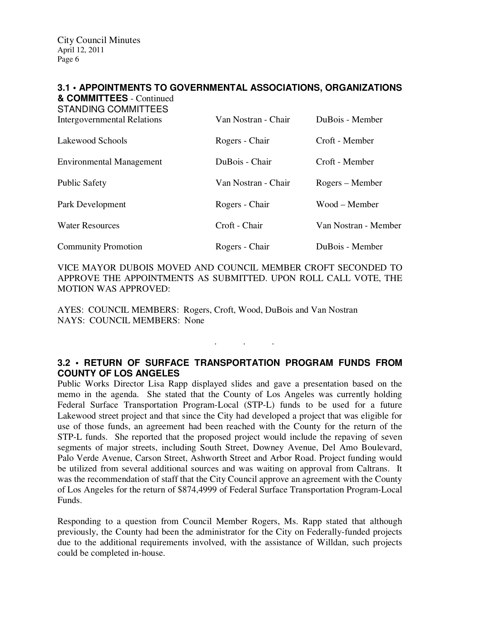#### **3.1 • APPOINTMENTS TO GOVERNMENTAL ASSOCIATIONS, ORGANIZATIONS & COMMITTEES** - Continued

| <b>STANDING COMMITTEES</b><br><b>Intergovernmental Relations</b> | Van Nostran - Chair | DuBois - Member      |
|------------------------------------------------------------------|---------------------|----------------------|
| Lakewood Schools                                                 | Rogers - Chair      | Croft - Member       |
| <b>Environmental Management</b>                                  | DuBois - Chair      | Croft - Member       |
| <b>Public Safety</b>                                             | Van Nostran - Chair | Rogers – Member      |
| Park Development                                                 | Rogers - Chair      | Wood – Member        |
| <b>Water Resources</b>                                           | Croft - Chair       | Van Nostran - Member |
| <b>Community Promotion</b>                                       | Rogers - Chair      | DuBois - Member      |

VICE MAYOR DUBOIS MOVED AND COUNCIL MEMBER CROFT SECONDED TO APPROVE THE APPOINTMENTS AS SUBMITTED. UPON ROLL CALL VOTE, THE MOTION WAS APPROVED:

AYES: COUNCIL MEMBERS: Rogers, Croft, Wood, DuBois and Van Nostran NAYS: COUNCIL MEMBERS: None

# **3.2 • RETURN OF SURFACE TRANSPORTATION PROGRAM FUNDS FROM COUNTY OF LOS ANGELES**

. . .

Public Works Director Lisa Rapp displayed slides and gave a presentation based on the memo in the agenda. She stated that the County of Los Angeles was currently holding Federal Surface Transportation Program-Local (STP-L) funds to be used for a future Lakewood street project and that since the City had developed a project that was eligible for use of those funds, an agreement had been reached with the County for the return of the STP-L funds. She reported that the proposed project would include the repaving of seven segments of major streets, including South Street, Downey Avenue, Del Amo Boulevard, Palo Verde Avenue, Carson Street, Ashworth Street and Arbor Road. Project funding would be utilized from several additional sources and was waiting on approval from Caltrans. It was the recommendation of staff that the City Council approve an agreement with the County of Los Angeles for the return of \$874,4999 of Federal Surface Transportation Program-Local Funds.

Responding to a question from Council Member Rogers, Ms. Rapp stated that although previously, the County had been the administrator for the City on Federally-funded projects due to the additional requirements involved, with the assistance of Willdan, such projects could be completed in-house.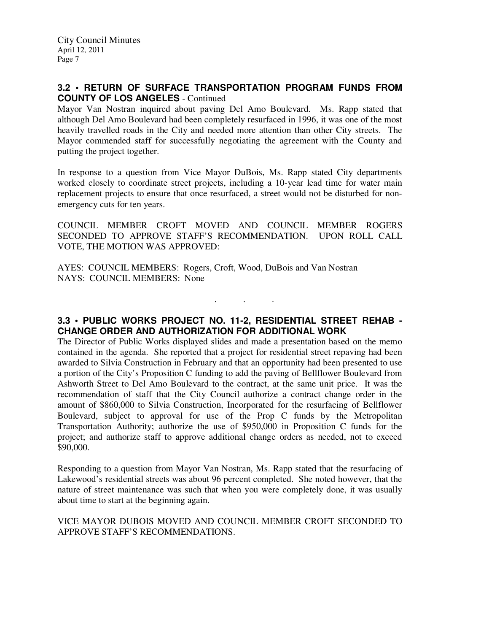## **3.2 • RETURN OF SURFACE TRANSPORTATION PROGRAM FUNDS FROM COUNTY OF LOS ANGELES** - Continued

Mayor Van Nostran inquired about paving Del Amo Boulevard. Ms. Rapp stated that although Del Amo Boulevard had been completely resurfaced in 1996, it was one of the most heavily travelled roads in the City and needed more attention than other City streets. The Mayor commended staff for successfully negotiating the agreement with the County and putting the project together.

In response to a question from Vice Mayor DuBois, Ms. Rapp stated City departments worked closely to coordinate street projects, including a 10-year lead time for water main replacement projects to ensure that once resurfaced, a street would not be disturbed for nonemergency cuts for ten years.

COUNCIL MEMBER CROFT MOVED AND COUNCIL MEMBER ROGERS SECONDED TO APPROVE STAFF'S RECOMMENDATION. UPON ROLL CALL VOTE, THE MOTION WAS APPROVED:

AYES: COUNCIL MEMBERS: Rogers, Croft, Wood, DuBois and Van Nostran NAYS: COUNCIL MEMBERS: None

**3.3 • PUBLIC WORKS PROJECT NO. 11-2, RESIDENTIAL STREET REHAB - CHANGE ORDER AND AUTHORIZATION FOR ADDITIONAL WORK** 

. . .

The Director of Public Works displayed slides and made a presentation based on the memo contained in the agenda. She reported that a project for residential street repaving had been awarded to Silvia Construction in February and that an opportunity had been presented to use a portion of the City's Proposition C funding to add the paving of Bellflower Boulevard from Ashworth Street to Del Amo Boulevard to the contract, at the same unit price. It was the recommendation of staff that the City Council authorize a contract change order in the amount of \$860,000 to Silvia Construction, Incorporated for the resurfacing of Bellflower Boulevard, subject to approval for use of the Prop C funds by the Metropolitan Transportation Authority; authorize the use of \$950,000 in Proposition C funds for the project; and authorize staff to approve additional change orders as needed, not to exceed \$90,000.

Responding to a question from Mayor Van Nostran, Ms. Rapp stated that the resurfacing of Lakewood's residential streets was about 96 percent completed. She noted however, that the nature of street maintenance was such that when you were completely done, it was usually about time to start at the beginning again.

VICE MAYOR DUBOIS MOVED AND COUNCIL MEMBER CROFT SECONDED TO APPROVE STAFF'S RECOMMENDATIONS.